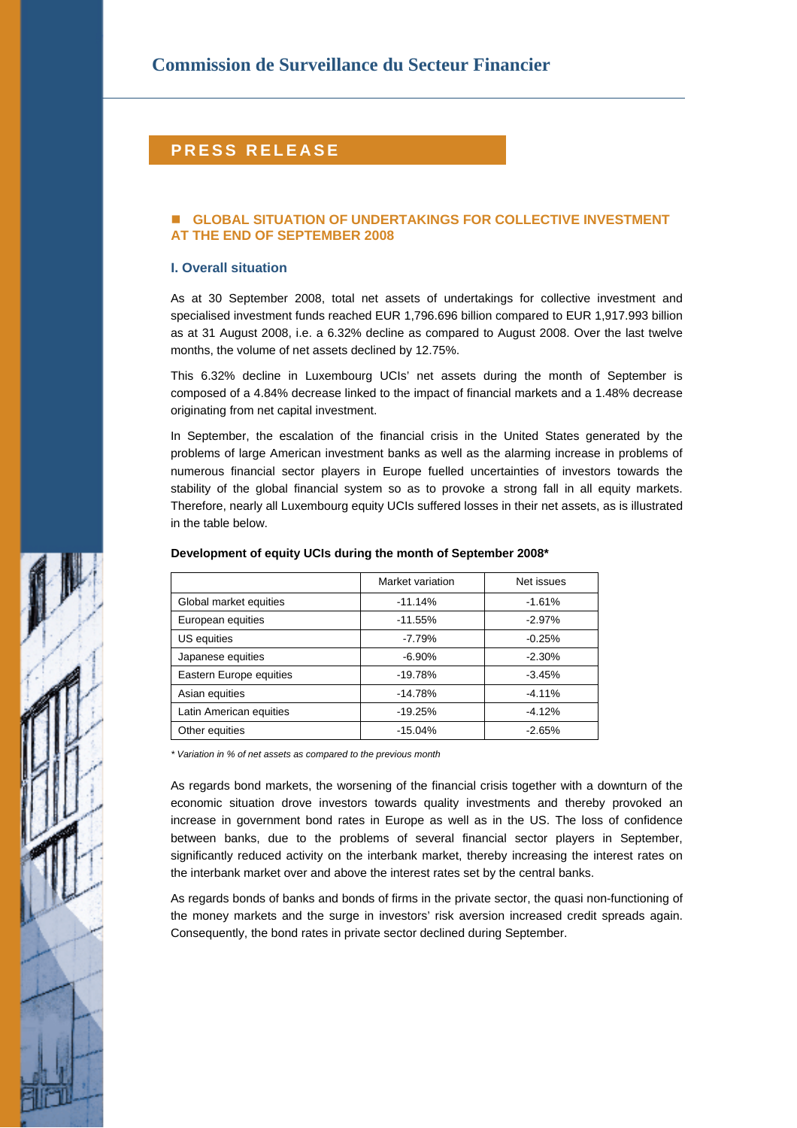# **PRESS RELEASE**

# **GLOBAL SITUATION OF UNDERTAKINGS FOR COLLECTIVE INVESTMENT AT THE END OF SEPTEMBER 2008**

## **I. Overall situation**

As at 30 September 2008, total net assets of undertakings for collective investment and specialised investment funds reached EUR 1,796.696 billion compared to EUR 1,917.993 billion as at 31 August 2008, i.e. a 6.32% decline as compared to August 2008. Over the last twelve months, the volume of net assets declined by 12.75%.

This 6.32% decline in Luxembourg UCIs' net assets during the month of September is composed of a 4.84% decrease linked to the impact of financial markets and a 1.48% decrease originating from net capital investment.

In September, the escalation of the financial crisis in the United States generated by the problems of large American investment banks as well as the alarming increase in problems of numerous financial sector players in Europe fuelled uncertainties of investors towards the stability of the global financial system so as to provoke a strong fall in all equity markets. Therefore, nearly all Luxembourg equity UCIs suffered losses in their net assets, as is illustrated in the table below.

|                         | Market variation | Net issues |  |
|-------------------------|------------------|------------|--|
| Global market equities  | $-11.14%$        | $-1.61%$   |  |
| European equities       | $-11.55%$        | $-2.97%$   |  |
| US equities             | $-7.79%$         | $-0.25%$   |  |
| Japanese equities       | $-6.90\%$        | $-2.30%$   |  |
| Eastern Europe equities | $-19.78%$        | $-3.45%$   |  |
| Asian equities          | $-14.78%$        | $-4.11%$   |  |
| Latin American equities | $-19.25%$        | $-4.12%$   |  |
| Other equities          | $-15.04%$        | $-2.65%$   |  |

### **Development of equity UCIs during the month of September 2008\***

*\* Variation in % of net assets as compared to the previous month* 

As regards bond markets, the worsening of the financial crisis together with a downturn of the economic situation drove investors towards quality investments and thereby provoked an increase in government bond rates in Europe as well as in the US. The loss of confidence between banks, due to the problems of several financial sector players in September, significantly reduced activity on the interbank market, thereby increasing the interest rates on the interbank market over and above the interest rates set by the central banks.

As regards bonds of banks and bonds of firms in the private sector, the quasi non-functioning of the money markets and the surge in investors' risk aversion increased credit spreads again. Consequently, the bond rates in private sector declined during September.

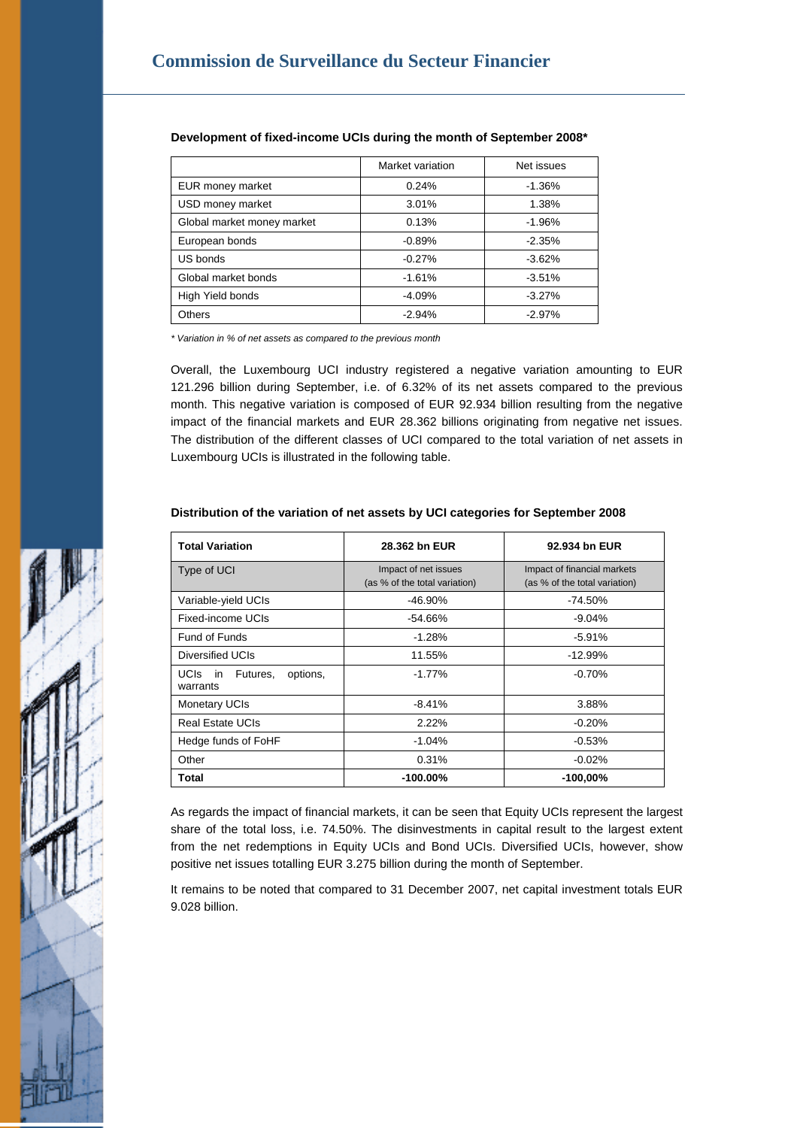|                            | Market variation | Net issues |  |
|----------------------------|------------------|------------|--|
| EUR money market           | 0.24%            | $-1.36%$   |  |
| USD money market           | 3.01%            | 1.38%      |  |
| Global market money market | 0.13%            | $-1.96%$   |  |
| European bonds             | $-0.89%$         | $-2.35%$   |  |
| US bonds                   | $-0.27%$         | $-3.62%$   |  |
| Global market bonds        | $-1.61%$         | $-3.51%$   |  |
| High Yield bonds           | $-4.09%$         | $-3.27%$   |  |
| <b>Others</b>              | $-2.94%$         | $-2.97%$   |  |

# **Development of fixed-income UCIs during the month of September 2008\***

*\* Variation in % of net assets as compared to the previous month* 

Overall, the Luxembourg UCI industry registered a negative variation amounting to EUR 121.296 billion during September, i.e. of 6.32% of its net assets compared to the previous month. This negative variation is composed of EUR 92.934 billion resulting from the negative impact of the financial markets and EUR 28.362 billions originating from negative net issues. The distribution of the different classes of UCI compared to the total variation of net assets in Luxembourg UCIs is illustrated in the following table.

| Distribution of the variation of net assets by UCI categories for September 2008 |  |
|----------------------------------------------------------------------------------|--|
|----------------------------------------------------------------------------------|--|

| <b>Total Variation</b>                                 | 28.362 bn EUR                                         | 92.934 bn EUR                                                |  |  |
|--------------------------------------------------------|-------------------------------------------------------|--------------------------------------------------------------|--|--|
| Type of UCI                                            | Impact of net issues<br>(as % of the total variation) | Impact of financial markets<br>(as % of the total variation) |  |  |
| Variable-yield UCIs                                    | $-46.90\%$                                            | $-74.50%$                                                    |  |  |
| <b>Fixed-income UCIs</b>                               | $-54.66%$                                             | $-9.04\%$                                                    |  |  |
| <b>Fund of Funds</b>                                   | $-1.28%$                                              | $-5.91%$                                                     |  |  |
| Diversified UCIs                                       | 11.55%                                                | $-12.99%$                                                    |  |  |
| <b>UCIS</b><br>Futures,<br>options.<br>in.<br>warrants | $-1.77%$                                              | $-0.70%$                                                     |  |  |
| <b>Monetary UCIs</b>                                   | $-8.41%$                                              | 3.88%                                                        |  |  |
| <b>Real Estate UCIs</b>                                | $2.22\%$                                              | $-0.20%$                                                     |  |  |
| Hedge funds of FoHF                                    | $-1.04%$                                              | $-0.53%$                                                     |  |  |
| Other                                                  | 0.31%                                                 | $-0.02%$                                                     |  |  |
| Total                                                  | $-100.00\%$                                           | $-100,00\%$                                                  |  |  |

As regards the impact of financial markets, it can be seen that Equity UCIs represent the largest share of the total loss, i.e. 74.50%. The disinvestments in capital result to the largest extent from the net redemptions in Equity UCIs and Bond UCIs. Diversified UCIs, however, show positive net issues totalling EUR 3.275 billion during the month of September.

It remains to be noted that compared to 31 December 2007, net capital investment totals EUR 9.028 billion.

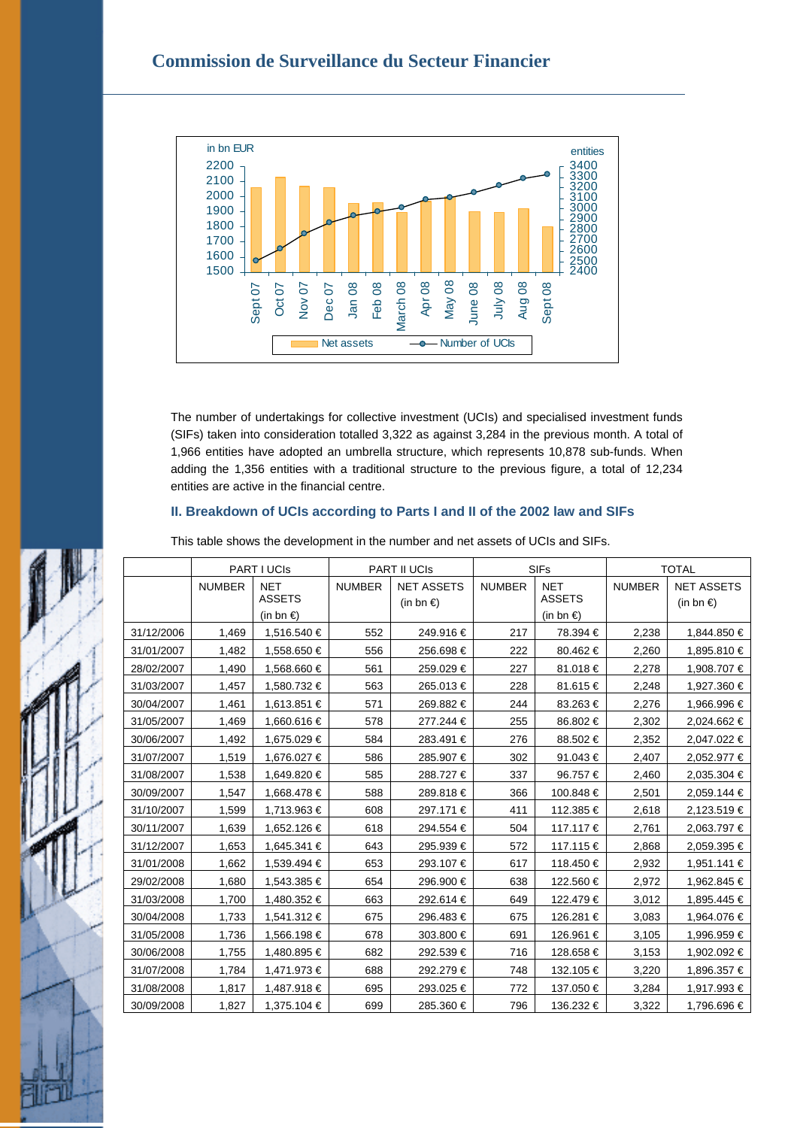# **Commission de Surveillance du Secteur Financier**



The number of undertakings for collective investment (UCIs) and specialised investment funds (SIFs) taken into consideration totalled 3,322 as against 3,284 in the previous month. A total of 1,966 entities have adopted an umbrella structure, which represents 10,878 sub-funds. When adding the 1,356 entities with a traditional structure to the previous figure, a total of 12,234 entities are active in the financial centre.

# **II. Breakdown of UCIs according to Parts I and II of the 2002 law and SIFs**

|            | PART I UCIS   |                             | PART II UCIS  |                                          | <b>SIFs</b>   |                             | <b>TOTAL</b>  |                                          |
|------------|---------------|-----------------------------|---------------|------------------------------------------|---------------|-----------------------------|---------------|------------------------------------------|
|            | <b>NUMBER</b> | <b>NET</b><br><b>ASSETS</b> | <b>NUMBER</b> | <b>NET ASSETS</b><br>(in bn $\epsilon$ ) | <b>NUMBER</b> | <b>NET</b><br><b>ASSETS</b> | <b>NUMBER</b> | <b>NET ASSETS</b><br>(in bn $\epsilon$ ) |
|            |               | (in bn $\epsilon$ )         |               |                                          |               | (in bn €)                   |               |                                          |
| 31/12/2006 | 1,469         | 1,516.540 €                 | 552           | 249.916 €                                | 217           | 78.394 €                    | 2,238         | 1,844.850 €                              |
| 31/01/2007 | 1,482         | 1,558.650 €                 | 556           | 256.698 €                                | 222           | 80.462€                     | 2,260         | 1,895.810 €                              |
| 28/02/2007 | 1,490         | 1,568.660 €                 | 561           | 259.029€                                 | 227           | 81.018€                     | 2,278         | 1,908.707 €                              |
| 31/03/2007 | 1,457         | 1,580.732 €                 | 563           | 265.013 €                                | 228           | 81.615 €                    | 2,248         | 1,927.360 €                              |
| 30/04/2007 | 1,461         | 1,613.851 €                 | 571           | 269.882€                                 | 244           | 83.263 €                    | 2,276         | 1,966.996 €                              |
| 31/05/2007 | 1,469         | 1,660.616 €                 | 578           | 277.244 €                                | 255           | 86.802€                     | 2,302         | 2,024.662 €                              |
| 30/06/2007 | 1,492         | 1,675.029 €                 | 584           | 283.491 €                                | 276           | 88.502€                     | 2,352         | 2,047.022 €                              |
| 31/07/2007 | 1,519         | 1,676.027 €                 | 586           | 285.907€                                 | 302           | 91.043€                     | 2,407         | 2,052.977 €                              |
| 31/08/2007 | 1,538         | 1,649.820 €                 | 585           | 288.727€                                 | 337           | 96.757€                     | 2,460         | 2,035.304 €                              |
| 30/09/2007 | 1,547         | 1,668.478 €                 | 588           | 289.818€                                 | 366           | 100.848 €                   | 2,501         | 2,059.144 €                              |
| 31/10/2007 | 1,599         | 1,713.963 €                 | 608           | 297.171 €                                | 411           | 112.385 €                   | 2,618         | 2,123.519€                               |
| 30/11/2007 | 1,639         | 1,652.126 €                 | 618           | 294.554 €                                | 504           | 117.117 €                   | 2,761         | 2,063.797 €                              |
| 31/12/2007 | 1,653         | 1,645.341 €                 | 643           | 295.939€                                 | 572           | 117.115 €                   | 2,868         | 2,059.395 €                              |
| 31/01/2008 | 1,662         | 1,539.494 €                 | 653           | 293.107€                                 | 617           | 118.450€                    | 2,932         | 1,951.141 €                              |
| 29/02/2008 | 1,680         | 1,543.385 €                 | 654           | 296.900 €                                | 638           | 122.560 €                   | 2,972         | 1,962.845 €                              |
| 31/03/2008 | 1,700         | 1,480.352 €                 | 663           | 292.614 €                                | 649           | 122.479€                    | 3,012         | 1,895.445 €                              |
| 30/04/2008 | 1,733         | 1,541.312 €                 | 675           | 296.483 €                                | 675           | 126.281 €                   | 3,083         | 1,964.076 €                              |
| 31/05/2008 | 1,736         | 1,566.198 €                 | 678           | 303.800 €                                | 691           | 126.961 €                   | 3,105         | 1,996.959€                               |
| 30/06/2008 | 1,755         | 1,480.895 €                 | 682           | 292.539€                                 | 716           | 128.658€                    | 3,153         | 1,902.092 €                              |
| 31/07/2008 | 1,784         | 1,471.973 €                 | 688           | 292.279€                                 | 748           | 132.105 €                   | 3,220         | 1,896.357 €                              |
| 31/08/2008 | 1,817         | 1,487.918 €                 | 695           | 293.025 €                                | 772           | 137.050 €                   | 3,284         | 1,917.993 €                              |
| 30/09/2008 | 1,827         | 1,375.104 €                 | 699           | 285.360 €                                | 796           | 136.232 €                   | 3,322         | 1.796.696 €                              |

This table shows the development in the number and net assets of UCIs and SIFs.